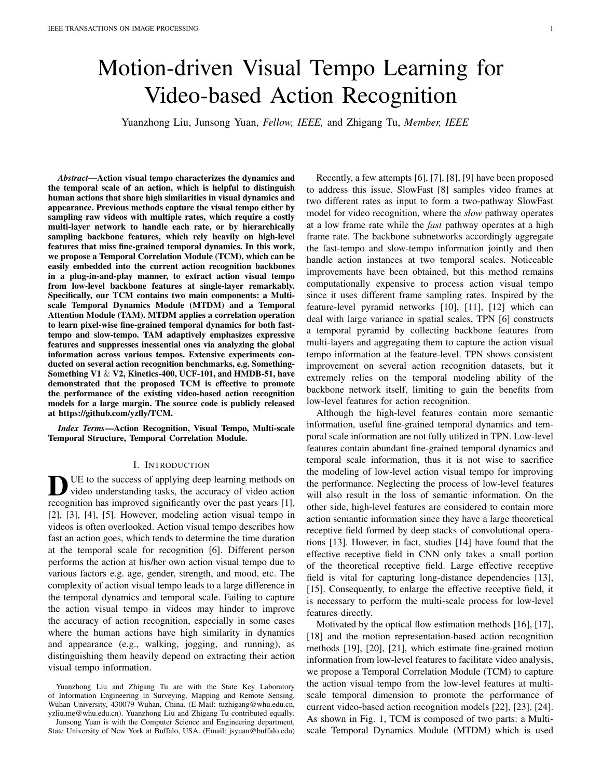# Motion-driven Visual Tempo Learning for Video-based Action Recognition

Yuanzhong Liu, Junsong Yuan, *Fellow, IEEE,* and Zhigang Tu, *Member, IEEE*

*Abstract*—Action visual tempo characterizes the dynamics and the temporal scale of an action, which is helpful to distinguish human actions that share high similarities in visual dynamics and appearance. Previous methods capture the visual tempo either by sampling raw videos with multiple rates, which require a costly multi-layer network to handle each rate, or by hierarchically sampling backbone features, which rely heavily on high-level features that miss fine-grained temporal dynamics. In this work, we propose a Temporal Correlation Module (TCM), which can be easily embedded into the current action recognition backbones in a plug-in-and-play manner, to extract action visual tempo from low-level backbone features at single-layer remarkably. Specifically, our TCM contains two main components: a Multiscale Temporal Dynamics Module (MTDM) and a Temporal Attention Module (TAM). MTDM applies a correlation operation to learn pixel-wise fine-grained temporal dynamics for both fasttempo and slow-tempo. TAM adaptively emphasizes expressive features and suppresses inessential ones via analyzing the global information across various tempos. Extensive experiments conducted on several action recognition benchmarks, e.g. Something-Something V1  $\&$  V2, Kinetics-400, UCF-101, and HMDB-51, have demonstrated that the proposed TCM is effective to promote the performance of the existing video-based action recognition models for a large margin. The source code is publicly released at https://github.com/yzfly/TCM.

*Index Terms*—Action Recognition, Visual Tempo, Multi-scale Temporal Structure, Temporal Correlation Module.

## I. INTRODUCTION

DUE to the success of applying deep learning methods on video understanding tasks, the accuracy of video action recognition has improved significantly over the past years [1], UE to the success of applying deep learning methods on video understanding tasks, the accuracy of video action [2], [3], [4], [5]. However, modeling action visual tempo in videos is often overlooked. Action visual tempo describes how fast an action goes, which tends to determine the time duration at the temporal scale for recognition [6]. Different person performs the action at his/her own action visual tempo due to various factors e.g. age, gender, strength, and mood, etc. The complexity of action visual tempo leads to a large difference in the temporal dynamics and temporal scale. Failing to capture the action visual tempo in videos may hinder to improve the accuracy of action recognition, especially in some cases where the human actions have high similarity in dynamics and appearance (e.g., walking, jogging, and running), as distinguishing them heavily depend on extracting their action visual tempo information.

Junsong Yuan is with the Computer Science and Engineering department, State University of New York at Buffalo, USA. (Email: jsyuan@buffalo.edu)

Recently, a few attempts [6], [7], [8], [9] have been proposed to address this issue. SlowFast [8] samples video frames at two different rates as input to form a two-pathway SlowFast model for video recognition, where the *slow* pathway operates at a low frame rate while the *fast* pathway operates at a high frame rate. The backbone subnetworks accordingly aggregate the fast-tempo and slow-tempo information jointly and then handle action instances at two temporal scales. Noticeable improvements have been obtained, but this method remains computationally expensive to process action visual tempo since it uses different frame sampling rates. Inspired by the feature-level pyramid networks [10], [11], [12] which can deal with large variance in spatial scales, TPN [6] constructs a temporal pyramid by collecting backbone features from multi-layers and aggregating them to capture the action visual tempo information at the feature-level. TPN shows consistent improvement on several action recognition datasets, but it extremely relies on the temporal modeling ability of the backbone network itself, limiting to gain the benefits from low-level features for action recognition.

Although the high-level features contain more semantic information, useful fine-grained temporal dynamics and temporal scale information are not fully utilized in TPN. Low-level features contain abundant fine-grained temporal dynamics and temporal scale information, thus it is not wise to sacrifice the modeling of low-level action visual tempo for improving the performance. Neglecting the process of low-level features will also result in the loss of semantic information. On the other side, high-level features are considered to contain more action semantic information since they have a large theoretical receptive field formed by deep stacks of convolutional operations [13]. However, in fact, studies [14] have found that the effective receptive field in CNN only takes a small portion of the theoretical receptive field. Large effective receptive field is vital for capturing long-distance dependencies [13], [15]. Consequently, to enlarge the effective receptive field, it is necessary to perform the multi-scale process for low-level features directly.

Motivated by the optical flow estimation methods [16], [17], [18] and the motion representation-based action recognition methods [19], [20], [21], which estimate fine-grained motion information from low-level features to facilitate video analysis, we propose a Temporal Correlation Module (TCM) to capture the action visual tempo from the low-level features at multiscale temporal dimension to promote the performance of current video-based action recognition models [22], [23], [24]. As shown in Fig. 1, TCM is composed of two parts: a Multiscale Temporal Dynamics Module (MTDM) which is used

Yuanzhong Liu and Zhigang Tu are with the State Key Laboratory of Information Engineering in Surveying, Mapping and Remote Sensing, Wuhan University, 430079 Wuhan, China. (E-Mail: tuzhigang@whu.edu.cn, yzliu.me@whu.edu.cn). Yuanzhong Liu and Zhigang Tu contributed equally.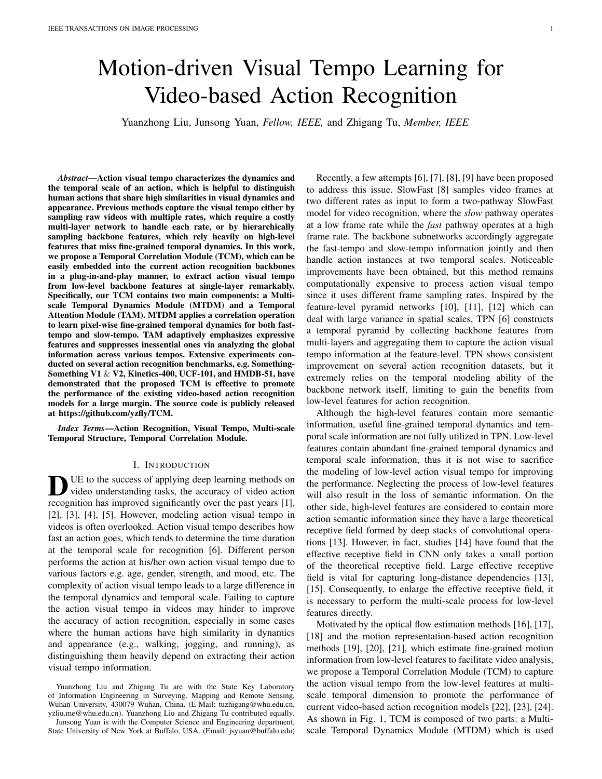

Fig. 1. The architecture of our TCM. TCM includes two main components: MTDM and TAM. In MTDM, given a single-layer backbone features as *Input*, we utilize a multi-scale sampling strategy to *sample* the longest scale and shortest scale feature pairs for each frame to capture the *Feature Source*. A *correlation* is applied to both the longest scale feature pairs and the shortest scale feature pairs to form two *Correlation Tensors* respectively for slow-tempo and fast-tempo. Then, we perform a *motion estimation* to extract the *Pixel-wise Displacement Maps* as MTDM's output, which will be fed into TAM. TAM applies *transformation* on the *Pixel-wise Displacement Map* to exploit *Dynamic Features*. After that, a *Cross-temporal Interaction* is executed to learn temporal attention weights for useful action visual tempo features excitation. Finally, the obtained action visual tempo features are combined with the *Input* features as the *Output*. C; T; H; W respectively represents the features' channel, temporal dimension, height, and width.

for extracting both the slow-tempo and fast-tempo temporal dynamics, and a Temporal Attention Module (TAM) which is used for aggregating the temporal dynamics. Specifically, in MTDM, the low-level backbone features (e.g. the output features of layer *res2* and layer *res3* in the backbone shown in Table I) will serve as the feature source to establish the shortest and longest temporal feature pairs for each video frame. Then, we apply the correlation operation [25] to each feature pairs to construct a correlation tensor, which is processed by an efficient motion estimation method [20], to extract pixel-wise fine-grained temporal dynamics for both fast-tempo and slowtempo at each frame. The output of MTDM will be fed into the downstream TAM for enhancement. TAM can adaptively highlight discriminate features and reduce insignificant ones by taking the interaction of temporal dynamics at different scales into account.

Correspondingly, by equipping with the explored TCM, a powerful neural network – TCM-Net is constructed. We integrate our TCM into the low-level layer of various action recognition backbone networks and evaluate it extensively on the popular action recognition benchmark datasets: Kinetics-400 [26], HMDB-51 [27], UCF-101 [28], and Something-Something V1 & V2 [29]. The experimental results show that the prior action recognition methods can achieve impressive gains when combine with our TCM. As pointed in [30], [31], [32], most of human actions cannot be recognized in the temporal dominated videos without considering the temporal relationship, like the human actions in the Something-Something V1 & V2 video datasets. Specifically, when incorporating TCM into the basic backbone ResNet50 [33] (TCM is placed right behind layer res3, see Table I for layer reference), the modified TCM-R50 model (with only 4% more FLOPs than ResNet50) produces competitive result, which is on par with the prior best performance on the Something-Something V1 & V2 datasets and the Kinetics400 dataset. Besides, a comprehensive ablation studies also demonstrate the

effectiveness and efficiency of the two components of TCM *i.e.* MTDM and TAM.

Our main contributions are summarized as follows:

- We design a MTDM to fully extract the pixel-wise fine-grained temporal dynamics of both fast-tempo and slow-tempo from the low-level single-layer deep features, which addresses the limitations of the previous methods that heavily rely on high-level features and are unable to exploit benefits from low-level features.
- We exploit a TAM, which can adaptively select and enhance the most effective action visual tempo from multi-scale temporal dynamics, to aggregate temporal dynamics.
- A TCM is constructed by combining MTDM with TAM, which can incorporate with various action recognition backbone networks easily in a plug-in-and-play way. Extensive experiments conducted on the main 2D and 3D action recognition backbones and action recognition benchmarks show that our TCM significantly improves the accuracy of current video-based action recognition models.

#### II. RELATED WORK

#### *A. Action Recognition in Videos*

The current convolutional deep learning methods [34], [23], [35] dedicated to human action recognition can be roughly divided into two categories, *i.e.* 3D convolutional networks (3D CNNs) and 2D convolutional networks (2D CNNs). 3D CNNs [36], [37], [38], [4] utilize 3D convolutional kernels to jointly model temporal and spatial semantics. Local temporal convolution operations are stacked to capture the long-range temporal dynamics. The Non-local network [15] introduces a non-local operation to better exploit the long-range temporal dynamics from input sequences. Except the non-local operation, there are many other modifications [39], [40], [19]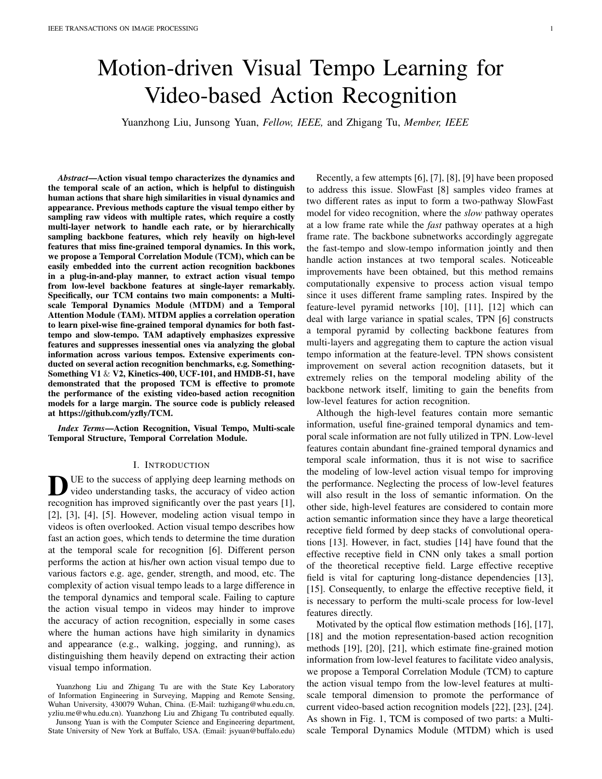have been explored to 3D CNNs to boost its performance, but the variation of action visual tempo is often neglected. 2D CNNs [41], [42], [32], [43] apply 2D kernels over per-frame inputs to exploit spatial semantics and followed by a module to aggregate temporal dynamics. The most famous 2D CNN model is the two-steam network [1], [41], [44], in which one stream extracts the RGB appearance features, and the other stream learns the optical flow motion information. Finally, it uses the average pooling for spatio-temporal aggregation. A number of efforts [30], [45], [31], [20] has been carried out to enhance the temporal information extraction efficiency for 2D CNNs. STM [30] proposes a Channel-wise Spatiotemporal Module and a Channel-wise Motion Module to encode the complementary spatiotemporal and motion features in a unified 2D CNN framework. ActionS-ST-VLAD [45] propose a novel action-stage(ActionS) emphasized spatiotemporal vector of locally aggregated descriptors (ActionS-ST-VLAD) method to adaptively aggregate video-level informative deep features. TEA [31] calculates the feature-level temporal differences from spatiotemporal features and utilizes the differences to excite the motion-sensitive channels of the features. Motion-Squeeze [20] presents a trainable neural module to establish correspondence across frames and convert them into motion features. These methods provide fine-grained modeling ability to learn adjacent frame temporal dynamics, but they ignore the importance of action visual tempo.

## *B. Action visual tempo Modeling in Video*

Many methods [6], [7], [8] are dedicated to action visual tempo [46] dynamics modeling by taking advantages of the input-level frame pyramid. DTPN [7] samples video frames with varied frame sampling rates and constructs a pyramidal feature representation for arbitrary-length input videos, where the slow-tempo and fast-tempo temporal dynamics can be captured. Such sample strategy tends to require multiple frames which causes a heavy computational cost, especially when the frame sampling rate increases. SlowFast [8] uses a twolevel frame pyramid to hard-code the variance of the action visual tempo. Branches are carefully devised to separately process each level, and the mid-level features of these branches are fused interactively. SlowFast can robustly deal with the variance of the action visual tempo, but the multi-branch network is costly. TPN [6] leverages different depth features hierarchically formed inside the backbone network to model action visual tempo. TPN can be applied to various models and brings consistent improvement, but it is limited by the backbone networks' temporal modeling ability. It cannot take advantage of the low-level features, and the useful longrange fine-grained temporal dynamics from distant frames in high-level features may be weakened as it is obtained by stacking multiple local temporal convolutions. To overcome these disadvantages, we utilize the correlation operation to establish pixel-wise matching values for different temporalscale features and exploit the action visual tempo in videos. We also explore a temporal attention module for interactive action visual tempo feature fusion, which not only enhances the saliency temporal scales, but also enriches the temporal dynamics.

## III. PROPOSED METHOD

In this section, we will introduce the details of our proposed TCM (see Fig. 1). TCM contains two important parts: a Multiscale Temporal Dynamics Module (MTDM) and a Temporal Attention Module (TAM). Initially, the visual contents of the input video are encoded into a feature sequence by a spatio-temporal action recognition backbone network. Then, the designed MTDM utilizes a correlation operation to extract the temporal dynamics of both fast-tempo and slow-tempo from this feature sequence. To determine the most effective visual tempo information, TAM will adaptively emphasize expressive temporal features and suppress insignificant ones by analyzing across-temporal interactions. Lastly, the obtained action visual tempo features are combined with the appearance features for final prediction.

#### *A. Multi-scale Temporal Dynamics Module (MTDM)*

The MTDM is a learnable temporal dynamics extractor, which extracts effective temporal dynamic features of both the fast-tempo and the slow-tempo in three steps: feature source utilization, visual similarity computation, and motion estimation.

*1) Feature Source Utilization:* The prior feature-based methods [6] utilize the high-level backbone features to construct a multi-layer feature pyramid that has increasing temporal receptive fields from bottom to top. The single-layer pyramid feature source has also been explored [6], but the effectiveness is limited due to the constraint of the backbone's temporal modeling ability. In contrast, we design a novel approach to extract the action visual tempo features of both the slow-tempo and the fast-tempo, where they are obtained by sampling deep features at different rates. This approach can effectively use the single-layer deep features and be free from the constraints of the backbone network.

Specifically, to learn features of the fast-tempo at each frame, we present an adjacent video frames feature extraction strategy (see Fig. 2(a)), which can effectively exploit the shortest scale temporal information. On the other side, to capture features of the slow-tempo for each moment, we use the longest scale temporal information and accordingly construct the feature extraction strategy as shown in Fig. 2(b). Combining the fast-tempo (Fig.  $2(a)$ ) with the slow-tempo (Fig. 2(b)) feature sampling strategy, our final multi-scale slow-fast-tempo sampling strategy (Fig. 2(c)) is formed. Accordingly, for each frame, we have its shortest and longest temporal range information, *i.e.* the fast-tempo and the slowtempo. Inspired by the way to estimate optical flow [47], [48], we calculate the pixel-wise visual similarity characteristics of each frame temporally to model the action visual tempo structure.

*2) Visual Similarity Computation:* Let us denote the pair of the input feature maps at a certain interval  $r$  by  $F<sup>t</sup>$  2  $R^C$  H W and  $F^{t+r}$  2  $R^C$  H W, where C; H and W are respectively the channel dimension, height and width. The visual similarity score at a position x with respect to the displacement **p** can be defined as:

$$
S(\mathbf{x}; \mathbf{p}; t) = F_{\mathbf{x}}^t \t F_{\mathbf{x} + \mathbf{p}}^{t+r}.
$$
 (1)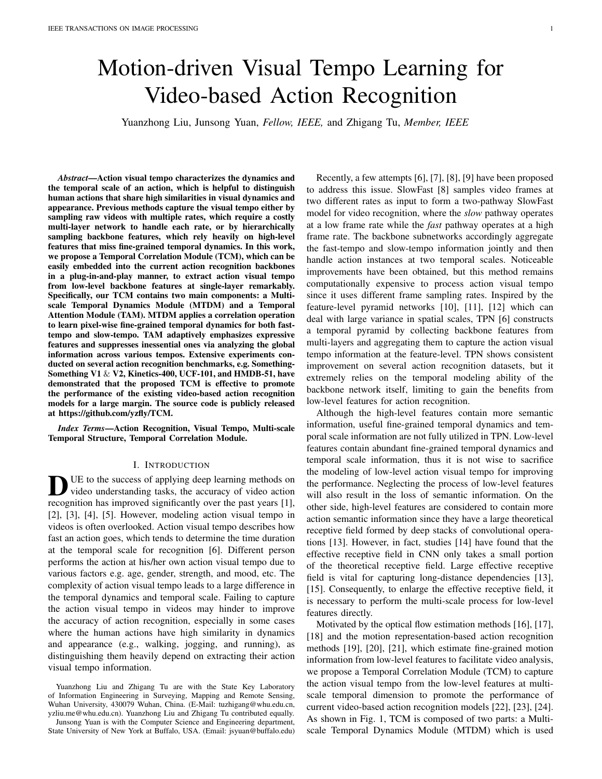(a) fast-tempo (b) slow-tempo (c) slow-fast-tempo

Fig. 2. Slow-fast-tempo Feature Sources. The longest scale and the shortest scale are considered for each moment to form a multi-scale sampling strategy to model the slow-fast-tempo information. The longest scale has a large temporal receptive eld for slow-tempo, and the shortest scale has a small temporal receptive eld for fast-tempo.

Fig. 3. Our explored Temporal Attention Module (TAM). The displacement map (with con dence map) from MTDM are transformed by six convolution layers to interpret slow-fast tempo semantics. Then the global average pooling (GAP) is used to capture aggregated features. With consideration of the cross-temporal interaction, temporal weights are generated by performing a fast 1D temporal convolution with side rek is adaptively determined by Eq. 8, here we show the case of  $K = 3$ .

where represents dot product. To improve the ef ciency, wewo-channels' optical ow and the one-channel' con dence compute the visual similarity score at the positiononly in map are concatenated to form a pixel-wise displacement map. its neighborhood with the radiure i.e. p 2 [ R; R]<sup>2</sup>. To maintain the temporal dimension consistency, we simply

Furthermore, to form the correlation tensor, we calculate the piste the last temporal dimension of the displacement map. visual similarity score of the input feature map paffis and The displacement map contains motion information of speci c F<sup>t+r</sup> at each position, which can be computed as followingscale. After performing motion estimation of the longest and

 $C(F^t;F^{t+r})$  2 R<sup>H W</sup> R R;  $\mathrm{C}_{\mathsf{i}\mathsf{j}\mathsf{k}\mathsf{l}}$  ;jk ij R;jl jj R = X h  $F^t{}_{hij}$   $F^{t+r}{}_{hkl}$ (2)

shortest scales, we concatenate them together for downstream feature transformation of both the slow-tempo and the fasttempo.

The radiusR is set manually and affects the nal performance<sup>B</sup>. Temporal Attention Module (TAM) In practice, given a feature map with the spatial resolution Our designed TAM aims to exploit the temporal dynamics H W (H is generally equal to W), we can set  $=$ INT (H=2), where INT is the integer ceiling function. In features while suppressing the trivial ones by taking acrosstheory, the result produced by the correlation is four-dimensicemporal dynamics interaction into account. It is known that (H W R R), we resize it to H W R<sup>2</sup> to facilitate the depth-wise separable convolution and signi cantly subsequent processing. of the upstream input, and adaptively highlight the distinctive reduce the computational complexity of CNNs, and we use

3) Motion Estimation: To establish the correspondencet to improve the ef ciency here. As shown in Fig. 3, the across frame pairs, we use a light-weight method as Molisplacement map (with the con-dence map) from upstream tionSqueeze [20] to estimate optical ow in terms of theayers will be fed into six convolution layers for transformacorrelation tenso $C(F^t; F^{t+r})$ . Following the setting of Mo- tion. Three 1 3 3 layers are utilized to approximate a tionSqueeze [20], we compute optical ow and it's correspond- 7 7 layer, then followed by another three 3 3 ing con-dence map for motion information extraction. Weayers. Speci-cally, except for the rst two layers, all the nd that the con-dence map is very useful for identifyingother layers are followed by  $a$  1 convolution layer. The motion outliers and learning informative motion features. The mantics of the displacement map and the con dence map are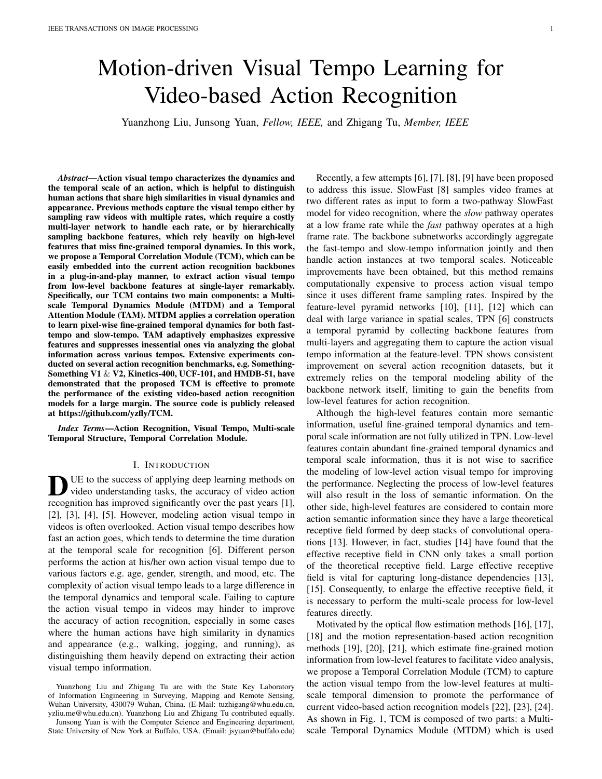expected to be interpreted by the feature transformation. Aftene range of the temporal interacticine (the size ofk) needs transforming the displacement map, the slow-fast visual temtoobe determined carefully. Following [50], the valuelocan features are obtained for aggregation. The TAM is designed to decided by:

automatically extrude the discriminative action visual tempo features meanwhile to reduce the impact of inessential features

during training. Recently, there are some effective attempts to

enhance the temporal information by utilizing the attentiowhere jvj<sub>odd</sub> indicates the nearest odd number of We set mechanism. TEA [31] employs a global average pooling layboth andb to 1 in our experiments.

to summarize the spatial information to get attentive weights Since the current frame and its adjacent frames have both to stimulate the motion-sensitive channels. Motion pattethe longest and shortest scales at the same time, the current has been excited and enhanced, but processing the temptemporal receptive eld is further expanded. As a result, the channels in isolation can lead to the loss of cross-tempofgatures have learned the information of both the fast-tempo interaction. and the slow-tempo. Taking the interaction of the temporal dy-

Given the temporal aggregated feature 2 R<sup>T</sup>, whereT denotes the feature temporal dimension, the temporal attentattention module can better enhance the useful slow and fast can be learned without dimensionality reduction according to val tempo information and suppress the unnecessary ones. Equation 3: namics at different temporal scales into account, our temporal

$$
w = (WFT); \t(3) C. Implementation
$$

whereW is a general parameter matrix with  $T$  elements. Speci cally, the parameter matrix in TEA [31] is computed uce channels to boost the computational ef ciency. The according to Equation 4: In MTDM, we rst apply a 1 1 convolution to re-

$$
W_1 = \begin{cases} 2 & 3 \\ w^{1,1} & 0 \end{cases}
$$
 (4)  
 
$$
W_2 = \begin{cases} 2 & 1 \\ 1 & 1 \end{cases}
$$
 (5)

C++/Cuda implemented version of the correlation operation in FlowNet [25] is adopted for our correlation tensor calculation. The motion estimation method of [20] is introduced to estimate

 $k = (T) = \frac{1}{J} \log_2(T) + b \jmath_{\text{odd}};$  (8)

the displacement map from the correlation tensor. In TAM, six 1 3 3 depth-wise separable convolutions are used to exploit

-ne-grained multi-scale temporal semantics. For the temporal

where $W_1$  is a diagonal matrix contains parameters, but the cross-temporal interaction is completely ignored here. Recent research about attention mechanism [50] suggests that the cross-channel interaction is useful, and the temporal interaction to the component amongston. We did a resolution to tion has a latent important function for video analysis tasks. attention, it can be performed by a fast 1D convolution with a kernel sizek, and then we extend the channel attention method ECA [50] to the temporal dimension. We utilize ResNet50 [33]

We explore a novel way to capture the local cross-temporal  $\frac{1}{2}$  TABLE I ing the visual similarity, we convert the global operation to a THE ILLUSTRATION OF OUR USED2D BACKBONE RESNET50. NOTE THAT BOTH THE KERNEL SIZE AND THE OUTPUT SIZE ARE INW H.

local operation to improve the ef ciency and accuracy. This means the weight of the temporal aggregated fealures calculated by only considering the temporal interaction with its k neighbors as Eq. 5:

$$
w_i = \begin{cases} \mathsf{X}^k & \mathsf{w}_i^j \, \mathsf{F}_i^j \, \mathsf{S} \, \mathsf{F}_i^j \, \mathsf{S} \, \mathsf{S}^k \\ \mathsf{S} & \mathsf{S} \end{cases} \tag{5}
$$

where  $\frac{k}{i}$  indicates the set  $\textsf{d} k$  adjacent temporal features of  $F_i$ . Accordingly, a band matri $W_k$  is employed to learn the temporal attention, where  $\mathcal{U}_k$  is computed as:



| Stage                   | Layer                                                   | Output size |
|-------------------------|---------------------------------------------------------|-------------|
| raw                     |                                                         | 224<br>224  |
| <b>CONV<sub>1</sub></b> | 7:64: stride 2.2                                        | 112<br>112  |
| pooh                    | 3 max, stride 2,2                                       | 56<br>56    |
| res                     | 1:64<br>4<br>$3:64$ 5<br>3<br>3<br>1:256                | 56<br>56    |
| res                     | 1:128<br>1<br>4<br>$3;128$ 5<br>3<br>4<br>1:512<br>1    | 28<br>28    |
| res <sub>4</sub>        | 1<br>1:256<br>4<br>-5<br>3<br>3:256<br>6<br>1:1024<br>1 | 14<br>14    |
| res,                    | 1:512<br>1<br>4<br>$3:512$ 5<br>3<br>3<br>1:2048<br>1   | 7<br>-7     |
|                         | global average pool, fc                                 |             |

# IV. EXPERIMENTS

Notably, W<sub>k</sub> involves onlyk T parameters, which are less We evaluate the proposed method on various action recogthan T T. Besides, we make all temporal channels to shanition datasets, including Kinetics-400 [26], HMDB-51 [27], the same learning parameters to boost the calculating spe&CF-101 [28], and Something-Something V1 & V2 [29].

$$
w_i = \begin{cases} X^k & \text{if } F_i^j \\ j = 1 \end{cases} (7)
$$

The baseline method i our experiments is SM [32] which uses ResNet50 [33] without non-local modules [15], thus it is fair for comparison. Furthermore, we test our method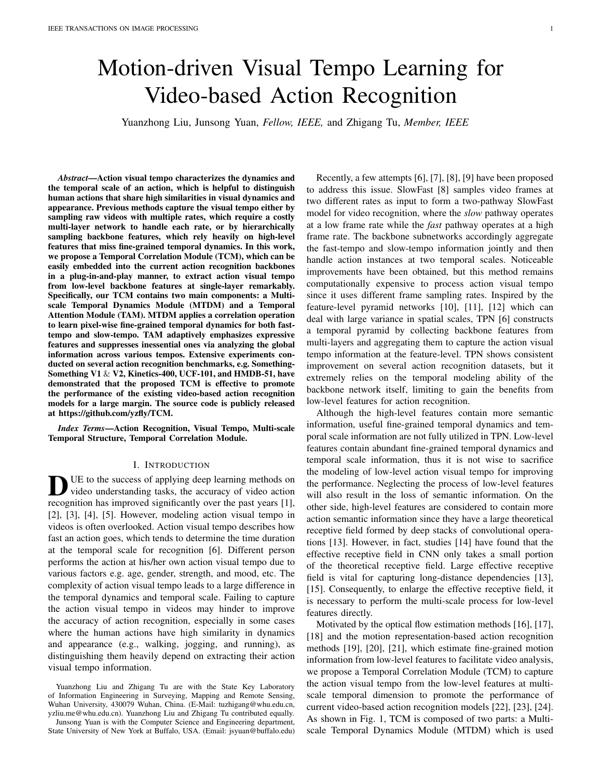on multiple action recognition backbone networks (TSM,

the components of TCM on Something-Something V1, to EXIASETS SPECIFICALLI, OFRAMES ARE INFORMATING AT analyze the effectiveness of the proposed TCM and its two componentsi.e. MTDM and TAM. It should be noted that we focus on the gain of action recognition from the extraction of  $\overline{\phantom{a}}$ 

action visual tempo patterns, and we only use RGB frames rather than optical ow to save the computation cost.

Datasets.As mentioned in the previous work [30], the primary public datasets for action recognition can be roughly classi-ed into two categories:  $(1)$  the temporal-related datasets Something-Something V& V2 [29], in which the temporal motion interaction of objects should be emphasized for better action understanding. (2) The scene-related datasets

e.g. Kinetics-400 [26], UCF-101 [28] and HMDB-51 [27]),

in which the temporal relation is less important compared to If which the temporal relation is less important compared  $\frac{M}{A}$ . Performance on CNN baselines the temporal-related datasets, this is because the background

information contributes more for determining the action label TCM can be seamlessly injected into a CNN baseline in most of the videos. The Something-Something V1 &  $\vee$  Signi-cantly enhance its temporal information modeling datasets focus on human interactions with daily life objects, To demonstrate that the enhancement is generalized thus classifying these interactions required to pay more attended steady, we compare our TCM with some baseline networks tion to the temporal information. Consequently, the proposed some famous action recognition benchmarks.

method is mainly evaluated on Something-Something V1 & 1) Evaluation on Different Datasetsn this experiment, as V2 as our goal is to improve the temporal modeling ability<sup>analyzed</sup> before, we select the representative model TSM [32] Additionally, we also report experimental results on the scene-<br>Additionally, we also report experimental results on the scenerelated datasets Kinetics-400 [26], HMDB-51 [27], and UCFP rotocols for both the original TSM [32] and the modied 101 [28]. Kinetics-400 contains 400 human action categories, del "TSM+TCM" for fair comparison. The results are and provides240k training videos and20k validation videos. In our experiments, due to some videos in Kinetics-400 are 0, UCF-101, and HMDB-51, their temporal information is unavailable, we collected 238,798 videos for training anglatively less important. In contrast, in the lower part, for 19,852 videos for validation. shown in Table II. In the upper part, for the datasets Kineticsthe datasets Something-Something V1 & V2, the temporal

Training. In general, we adopted the training strategy same module into TSM, the performance of "TSM+TCM" as TSM [32]. Our model is initialized with the ImageNet pre<sub>nas signi-cantly improved on both the scene dominant datasets</sub> trained weights of ResNet50 (see Table I). The training setting and the temporal dominant datasets. For example, compared for the Kinetics-400, UCF-101, and HMDB-51 datasets are in TSM, on the large-scale dataset Kinetics-400, the Top-1 also the same as TSM [32]. For the Something-Something  $\&$  V2 datasets, the training parameters are: the epochs are  $\frac{50}{10}$ , On the relatively smaller-scale datasets UCF-101 and the batch size is 32, the initial learning rate is 0.01 (decays by HMDB-51, the Top-1 accuracy of "TSM+TCM" is boosted 0.1 at epoch 30, 40 and 45), the weight decay is 5e-4, and  ${\rm Hg}_{\rm Spectively}$  by 1.3% and 4.1%; On the temporal dominated dropout is 0.5. At training, for each video, we sample a clip datasets Something-Something V1 & V2, the performance with 8 or 16 frames, resize them to the scale  $240$  320, and then crop  $\frac{224}{100}$  224 patch from the resized images. enhanced separately by 4.7% and 1.7%. This proves that the The scale jittering is used for data augmentation. The nalmances experiency by the state the temporal modeling prediction follows the standard protocol of TSN [41]. information becomes very important. When integrating our  $\frac{\text{V1}}{\text{2}}$ curacy of "TSM+TCM" is improved by 1.5% (75.6% vs. improvement is more obvious, where the Top-1 accuracy is ability of the baseline.

Evaluation. For the Something-Something V1 & V2 datasets, 2) Evaluation on Different BackbonesWe apply our TCM two kinds of testing schemes are used: 1) single-clip attod a variety of backbone networks, and show their accuracy center-crop, where only a center crop 2024 224 from a on the Something-Something V1 dataset in Table III. There single clip is utilized for evaluation; 2) 10-clip and 3-cropare two parts: the upper part is 2D-CNN methods, and the where three crops of 24 224 and 10 randomly-sampled clipslower part is 3D-CNN methods. Particularly, in all networks, are employed for testing. The rst testing scheme is with highCM is placed right behind layees3 For TSM over different ef ciency while the second one is for improving the accuracbackbones, "TSM+TCM" can clearly enhance the accuracy of with a denser prediction strategy. We evaluate both the singletion recognition with only a small increase in parameters. clip prediction and the average prediction of 10 randomlyCompared to the baseline TSM-ResNet50, TCM obtains a sampled clips. For the Kinetics-400 dataset, we evaluate tsigni cant gain of about 6.4% (52.0% vs. 45.6%) at Top-1 average prediction of uniformly-sampled 10 clips from eacaccuracy at the cost of only 5.6% (35.3G vs. 33.4G) and 0.8% video. For the UCF-101 and HMDB-51 datasets, 2 uniformly(24.5M vs. 24.3M) growth in FLOPs and parameters. For the sampled clips from each video are selected for evaluation. well-performed TEA [31] which can stimulate and aggregate

#### TABLE II

TEA, and I3D), and conduct plenty of ablation studies about <sup>OMPARISON</sup> OF OUR METHOD TSM+TCM" WITH TSM ON DIFFERENT DATASETS. SPECIFICALLY, 8 FRAMES ARE INPUT FOR TRAINING. AT HMDB-51 AND UCF-101,AND A SINGLE VIDEO CLIP FOR SOMETHING-SOMETHING V1 & V2.

| Dataset        | Model              | $Top-1(\%)$  | Top-5(%)     | Top-1(%) |
|----------------|--------------------|--------------|--------------|----------|
| Kinetics-400   | TSM<br>Ours        | 74.1<br>75:6 | 91.2<br>92:5 | $+1.5$   |
| <b>UCF-101</b> | <b>TSM</b><br>Ours | 95.9<br>97:2 | 99.7<br>99:8 | $+1.3$   |
| HMDB-51        | TSM<br>Ours        | 73.5<br>77:6 | 94.3<br>96:4 | $+4.1$   |
| Sth-Sth<br>V1  | TSM<br>Ours        | 47.3<br>52:0 | 76.2<br>80:4 | $+4.7$   |
| Sth-Sth<br>V2  | TSM<br>Ours        | 61.7<br>63:4 | 87.4<br>88:6 | $+1.7$   |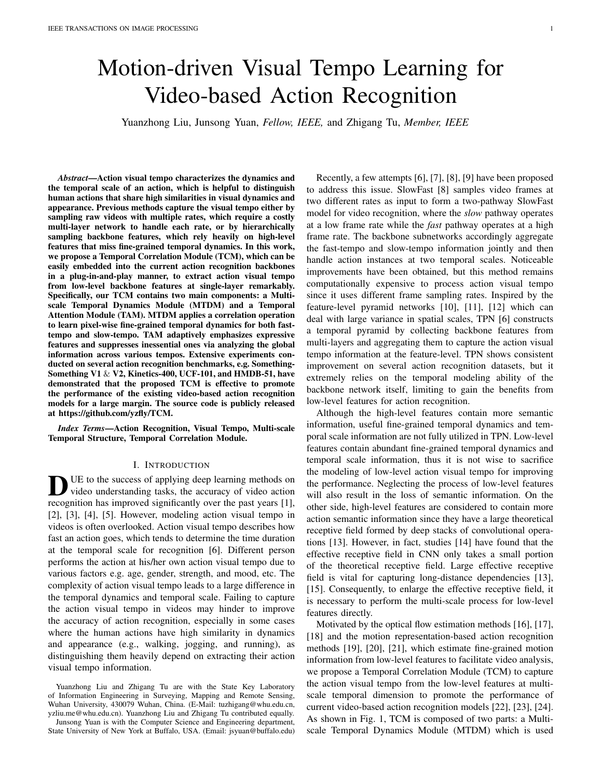|    | Method               | тсм |     | Input |    | <b>FLOPs</b>                        | Params            |                   | Sth-Sth V1        |
|----|----------------------|-----|-----|-------|----|-------------------------------------|-------------------|-------------------|-------------------|
|    |                      |     |     |       |    |                                     |                   | $Top-1(\%)$       | Top- $5(\%)$      |
|    |                      |     | 224 | 224   | 8  | 14.5G                               | 11.3M             | 42.8              | 72.3              |
|    | TSM-ResNet18 [41]    | X   | 224 | 224   | 8  | 16.4G <sub>+1 :9</sub>              | 11.5 $M_{+0}$ :2) | $45.8_{+3}$ :0)   | $74.8_{+2}$ :5)   |
|    | TSM-ResNet50 [41]    |     | 224 | 224   | 8  | 33.4G                               | 24.3M             | 45.6              | 74.2              |
| 2D |                      | X   | 224 | 224   | 8  | $35.3G_{+1}$ :9)                    | $24.5M_{+0}$ :2)  | $52.0_{+6}$ :4)   | $80.4_{+6}$ :2)   |
|    | TSM-ResNet101 [41]   |     | 224 | 224   | 8  | 63.1G                               | 42.9M             | 46.3              | 75.8              |
|    |                      | X   | 224 | 224   | 8  | $65.0G_{+1}$ :9)                    | 43.1 $M_{+0}$ :2) | 52. $6_{+6}$ :3)  | $81.4_{+5;6}$     |
|    | <b>TEA [42]</b>      |     | 224 | 224   | 8  | 34.7G                               | 24.4M             | 48.9              | 78.1              |
|    |                      | X   | 224 | 224   | 8  | $36.6G_{+1}$ :9)                    | 24.6 $M_{+0}$ :2) | $50.6_{+1}$ :7)   | $79.7_{(+1)}$ :6) |
|    | 3D-ResNet-18 [37]    |     | 112 | 112   | 16 | 33.2G                               | 33.3M             | 16.4              | 45.3              |
|    |                      | X   | 112 | 112   | 16 | 33.4 $G_{+0}$ :2)                   | 33.5 $M_{+0}$ :2) | $19.7_{(+3)(3)}$  | $48.5_{+3}$ : 2)  |
| 3D | 3D-ResNet-50 [37]    |     | 112 | 112   | 16 | 40.4G                               | 46.2M             | 22.3              | 51.4              |
|    |                      | X   | 112 | 112   | 16 | 40.6G <sub>+0</sub> $\frac{.2}{.2}$ | 46.4 $M_{+0}$ :2) | $24.1_{(+1 \_3)}$ | 53.7( $+2$ :3)    |
|    | 3D-ResNeXt from [51] |     | 112 | 112   | 16 | 9.6G                                | 47.8M             | 24.5              | 53.2              |
|    |                      | X   | 112 | 112   | 16 | $9.8G_{+0.2}$                       | 48.2 $M_{+0}$ :2) | $26.1_{(+1)}$ :6) | $55.7_{(+2)}$ :5) |

TABLE III COMPARISON BETWEEN OURTCM AND OTHER BACKBONES ON THESOMETHING-SOMETHING V1 DATASET.

the temporal information effectively, our TCM also boosts Following [32], [20], we ensemble our 8-frame and 16 its performance for a large margin, g. the Top-1 accuracy frame models by averaging their prediction scores. Our 10-clip enhances from 48.9% to 50.6%. For 3D-ResNet [37] overrodel obtains remarkable results on the Something-Something different depth, TCM can steadily promote the performance,1 dataset. Speci cally, as shown in the last row of Table e.g. 3D-ResNet-18 (Top-1 + 3.3%), 3D-ResNet-50 (Top-1  $\text{H}$ ), its Top-1 and Top-5 accuracy outperforms the state-of-1.8%). For the famous 3D network 3D-ResNeXt [51], outhe-art method TDN [65] by 0.4% (57.2% vs. 56.8%) and TCM further improves its temporal modeling capability, where 1% (85.2% vs. 84.1%), respectively. Furthermore, on the the Top-1 accuracy is modi ed by 1.6% (24.5% vs. 26.1%).Something-Something V2 dataset, in contrast to TDN [65],

## B. Comparison with state-of-the-arts

our 10-clip model also has a better performance in the Top-5 accuracy (92.2% vs. 91.6%) and its Top-1 accuracy is just a little bit lower (67.8% vs. 68.2%).

To evaluate the temporal modeling ability and the entire Table V shows the comparison with the state-of-the-art capacity of our method, we compare our TCM-derived mode pproaches on the scene dominated dataset Kinetics-400. It with the state-of-the-arts extensively on both the tempore an be clearly seen that our TCM has an outstanding perfordominated datasets Something-Something V1 & V2 and theance. Firstly, our 8-frame TCM-R50 surpasses the 64-frame scene dominated datasets Kinetics-400, UCF-101 and HMDBD method [39] (Top-1 accuracy: 76.1% vs. 72.1%), and it 51. The results are reported in Table IV, Table V and Table Vachieves a competitive accuracy to the 128-frame Nonlocal-

Table IV shows the performance of 23 recent action recogr<sup>R50</sup> approach [15] (Top-1 accuracy: 76.1% vs. 76.5%) while tion methods on the Something-Something V1 & V2 datasetts GFlops is 8 less. Moreover, our 8-frame TCM-R50 model There are three parts in this table: 3D CNN methods [52], erforms even better than the 8-frame SlowOnly method [8] [53], [54], [55] (in the upper part), 2D CNN methods [41], Top-1 accuracy: 76.1% vs. 74.8%) with 1.2less GFlops. [42], [60], [61], [30], [31], [20] (in the middle part), and All these results demonstrate that, our TCM network, is more the proposed TCM based methods (in the bottom part). Curate and ef-cient than the non-local network to model the Without any bells and whistles, the Top-1 accuracy of ouemporal relationships for video classi cation. Secondly, our "TSM+TCM" method i.e. "TCM-R50" on the Something-16-frame TCM-R50 outperforms most of its 16-frame coun-Something V1 dataset reaches to 52.2%, which surpaster parts, i.e. STM [30] (Top-1 accuracy: 77.4% vs. 73.7%), its 2D CNN based counterparts STM [30], TEA [31], and EA [31] (Top-1 accuracy: 77.4% vs. 76.1%), MSNet [20] TANet [62] that need double input (16 input frames) for at Top-1 accuracy:77.4% vs. 76.4%), and TEINet [63] (Top-1 least 0.3%. Importantly, with 16 input frames, the accuracy accuracy: 77.4% vs. 76.2%). With 5.1less GFlops than the our "TSM+TCM" method on the Something-Something V1 & 128-frame Nonlocal-R101 method [15], our model obtains a V2 datasets is further improved, where its Top-1 accuracy Gomparable accuracy (Top1 acc: 77.4% vs. 77.7%). Thirdly, higher than STM [30], TEA [31], and TANet [62] for at least<sup>we</sup> perform the score fusion over 8-frame TCM-R50 and 16-1.2% on Something-Something V1 and 0.9% on Somethingame TCM-R50, which mimics the two-steam fusion with Something V2. In addition, compared to the 3D CNN basewo temporal rates. At testing, we use 10 clips and 3 crops methods,e.g. 3D DenseNet121 [57], the Top-1 accuracy iner clip. Our TCM achieves a higher accuracy than the "8+32improved by 2.9% (53.1% vs. 50.2%) and 2.2% (65.1% vtame" SlowFast model [8], with using less input frames and 62.9%) separately on the Something-Something V1 datasetittle bit less GFlops (105 vs. 106). Table V reveals that, and the Something-Something V2 dataset. Compared to Napatio-temporal learning of our TCM is more effective than I3D [53], the performance is improved by 7.8% with using emporal shift of TSM.

less input (8 vs. 32) and less computation (35GFlops vs. To further verify the generalization ability of the explored 168GFlops 2). TCM, we transfer the trained 16-frame TCM-R50 model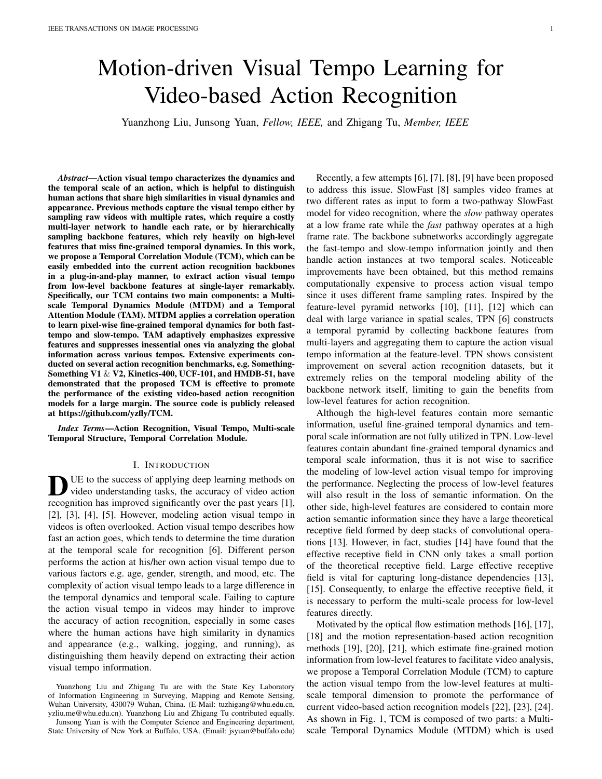## TABLE IV

PERFORMANCE COMPARISON WITH STATEOF-THE-ARTS ON THE SOMETHING-SOMETHING V1 & V2 DATASETS. MOST OF THE RESULTS ARE COPIED FROM THE CORRESPONDING PAPERAND THE SYMBOL "-" DENOTES THE RESULT IS NOT GIVEN

| Method               | Frame           | <b>FLOPs</b> | clips          | Params |             | Sth-Sth V1          |             | Sth-Sth V2          |
|----------------------|-----------------|--------------|----------------|--------|-------------|---------------------|-------------|---------------------|
|                      |                 |              |                |        | $Top-1(\%)$ | Top- $5\frac{6}{6}$ | $Top-1(\%)$ | Top- $5\frac{6}{6}$ |
| $ECQEn$ Lite [52]    | $\overline{92}$ | 267          | 1              | 150M   | 46.4        |                     |             |                     |
| <b>I3D from [53]</b> | 32              | 153G         | $\overline{2}$ | 28.0M  | 41.6        | 72.2                |             |                     |
| NL-I3D from [53]     | 32              | 168G         | $\overline{2}$ | 35.3M  | 44.4        | 76.0                |             |                     |
| NL-I3D + GCN [53]    | 32              | 303G         | $\overline{2}$ | 62.2M  | 46.1        | 76.8                |             |                     |
| S3D-G [54]           | 64              | 71G          | 1              | 11.6M  | 48.2        | 78.7                |             |                     |
| DFB-Net [55]         | 16              | N/A          | 1              |        | 50.1        | 79.5                |             |                     |
| CorrNet-101 [56]     | 32              | 224G         | 30             |        | 51.7        |                     |             |                     |
| 3D DenseNet121 [57]  | 16              | 31G          | $\mathbf{1}$   | 21.4M  | 50.2        | 78.9                | 62.9        | 88.0                |
| CIDC(I3D) [58]       | 32              | 92G          | 30             | 87M    |             |                     | 56.3        | 83.7                |
| RubiksNet [59]       | 8               | 33G          | 1              |        | 46.4        | 74.5                | 58.8        | 85.6                |
| <b>TSN [41]</b>      | $\overline{8}$  | 16G          | $\overline{1}$ | 10.7M  | 19.5        | $\blacksquare$      | 33.4        |                     |
| <b>TRN [42]</b>      | 8               | 16G          | N/A            | 18.3M  | 34.4        |                     | 48.8        |                     |
| <b>MFNet [60]</b>    | 10              | N/A          | 10             |        | 43.9        | 73.1                |             |                     |
| <b>CPNet [61]</b>    | 24              | N/A          | 96             |        |             |                     | 57.7        | 84.0                |
| <b>STM [30]</b>      | 16              | 67G          | 30             | 24.0M  | 50.7        | 80.4                | 64.2        | 89.8                |
| TSM [32]             | $16 + 8$        | 98G          | $\mathbf{1}$   | 48.6M  | 49.7        | 78.5                | 62.9        | 88.1                |
| <b>TEA [31]</b>      | 16              | 70G          | 1              | 24.5M  | 51.9        | 80.3                |             |                     |
| <b>TANet</b> [62]    | $16 + 8$        | 99G          | 1              | 25.6M  | 50.6        | 79.3                |             |                     |
| MSNet [20]           | $16 + 8$        | 101G         | 10             | 49.2M  | 55.1        | 84.0                | 67.1        | 91.0                |
| CIDC(R2D) [58]       | 32              | 72G          | 30             | 85M    |             |                     | 40.2        | 68.6                |
| <b>TEINet [63]</b>   | $16 + 8$        | 99G          | $\mathbf{1}$   | 30.4M  | 52.5        |                     | 65.5        | 89.8                |
| ACTION-Net [64]      | 16              | 69.5G        | 1              | 28.1M  |             |                     | 64.0        | 89.3                |
| <b>TDN [65]</b>      | $16 + 8$        | 198G         | 1              |        | 56:8        | 84.1                | 68:2        | 91.6                |
| TCM-R50              | $\overline{8}$  | 35G          | 1              | 24.5M  | 52.2        | 80.4                | 63.5        | 88.7                |
| TCM-R50              | 16              | 70G          | 1              | 24.5M  | 53.1        | 81.2                | 65.1        | 89.6                |
| $TCM-R5QEn$          | $16 + 8$        | 105G         | 1              | 49.0M  | 54.7        | 82.6                | 66.7        | 90.7                |
| $TCM-R5QEn$          | $16 + 8$        | 105G         | 10             | 49.0M  | 57:2        | 85:2                | 67:8        | 92:2                |

TABLE V

PERFORMANCE COMPARISON WITH THE STATEOF-THE-ARTS ON THE KINETICS-400 DATASET. THE SYMBOL "N/A" DENOTES THE RESULT THAT IS NOT GIVEN.

| Method              | Pretrain  | Frame           | <b>FLOPs</b> | <b>Views</b>    |          | Kinetics-400 |
|---------------------|-----------|-----------------|--------------|-----------------|----------|--------------|
|                     |           |                 |              |                 | Top-1(%) | Top-5(%)     |
| <b>ECO [52]</b>     | Scratch   | $\overline{92}$ | N/A          | N/A             | 70.0     | 89.4         |
| I3D [39]            | Scratch   | 64              | 108G         | N/A             | 72.1     | 90.3         |
| Two-Stream I3D [39] | Scratch   | 64              | 216G         | N/A             | 75.7     | 92.0         |
| $R(2+1)D$ [40]      | Sports-1M | 32              | 152G         | 10              | 74.3     | 91.4         |
| ARTNet [66]         | Scratch   | 16              | 23.5G        | 250             | 69.2     | 88.3         |
| S3D-G [54]          | ImageNet  | 64              | 66.4G        | N/A             | 77.2     | 93.0         |
| Nonlocal-R50 [15]   | ImageNet  | 128             | 282G         | 30              | 76.5     | 92.6         |
| Nonlocal-R101 [15]  | ImageNet  | 128             | 359G         | 30              | 77.7     | 93.3         |
| ip-CSN [67]         | ImageNet  | 32              | 83G          | 30              | 76.7     | 92.3         |
| CIDC(I3D) [58]      | ImageNet  | 32              | 92G          | 30              | 74.5     | 91.3         |
| <b>TPN [6]</b>      | Scratch   | 32              | N/A          |                 | 78.9     | 93.9         |
| SmallBigNet [68]    | Scratch   | 32              | 418G         | 12              | 77.4     | 93.3         |
| CorrNet [56]        | Scratch   | 32              | 224G         | 30              | 79.2     | N/A          |
| SlowOnly [8]        | Scratch   | 8               | 41.9G        | 30              | 74.8     | 91.6         |
| SlowFast [8]        | Scratch   | $8 + 32$        | 106G         | 30              | 77.9     | 93.2         |
| SlowFast [8]        | Scratch   | 16+64           | 234G         | 30              | 79:8     | 93.9         |
| X3D [4]             | Scratch   | 16              | 48.4G        | 30              | 79.1     | 93.9         |
| <b>TSN [41]</b>     | ImageNet  | $\overline{25}$ | 3.2G         | $\overline{10}$ | 72.5     | 90.5         |
| <b>TSM [32]</b>     | ImageNet  | 16              | 65G          | 30              | 74.7     | 91.4         |
| STM [30]            | ImageNet  | 16              | 67G          | 30              | 73.7     | 91.6         |
| <b>TEA [31]</b>     | ImageNet  | 16              | 70G          | 30              | 76.1     | 92.5         |
| MSNet [20]          | ImageNet  | 16              | 67G          | 30              | 76.4     | N/A          |
| CIDC(R2D) [58]      | ImageNet  | 32              | 72G          | 30              | 72.2     | 90.1         |
| TEINet [63]         | ImageNet  | 16              | 66G          | 30              | 76.2     | 92.5         |
| TANet-152 [62]      | ImageNet  | 16              | 242G         | 12              | 79.3     | 94.1         |
| <b>TDN [65]</b>     | ImageNet  | $16 + 8$        | 198G         | 30              | 79.4     | 94:4         |
| TCM-R50             | ImageNet  | $\overline{8}$  | 35G          | $\overline{30}$ | 76.1     | 92.3         |
| TCM-R50             | ImageNet  | 16              | 70G          | 30              | 77.4     | 93.1         |
| $TCM-R5Qen$         | ImageNet  | $16 + 8$        | 105G         | 30              | 78:5     | 93:8         |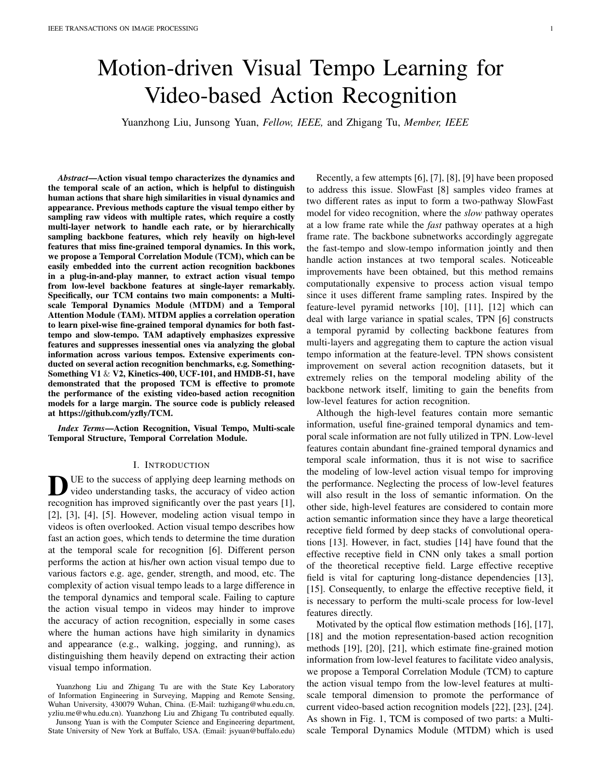TABLE VI COMPARISON WITH THE STATE-OF-THE-ARTS ON THE UCF-101AND HMDB-51 DATASETS. THE SYMBOL "-" DENOTES THE RESULT THAT IS NOT GIVEN.

| Method                           | Pretrain        | Backbone             | <b>UCF-101</b> | HMDB-51 |
|----------------------------------|-----------------|----------------------|----------------|---------|
| <b>TSN [41]</b>                  | ImageNet        | Inception V2         | 86:4%          | 53.7%   |
| P3D [69]                         | ImageNet        | ResNet50             | 88:6%          |         |
| C <sub>3</sub> D <sub>[36]</sub> | Sports-1M       | ResNet18             | 85:8%          | 54:9%   |
| I3D [39]                         | <b>Kinetics</b> | Inception V2         | 95:6%          | 74:8%   |
| ARTNet [66]                      | Kinetics        | ResNet18             | 94:3%          | 70:9%   |
| S3D [54]                         | <b>Kinetics</b> | Inception V2         | 96:8%          | 75.9%   |
| $R(2+1)D$ [40]                   | <b>Kinetics</b> | ResNet34             | 96:8%          | 74:5%   |
| <b>TSM [32]</b>                  | <b>Kinetics</b> | ResNet <sub>50</sub> | 96.0%          | 73.2%   |
| <b>STM [30]</b>                  | <b>Kinetics</b> | ResNet50             | 96:2%          | 72:2%   |
| <b>TEA [31]</b>                  | <b>Kinetics</b> | ResNet50             | 96:9%          | 73:3%   |
| <b>TDN [65]</b>                  | <b>Kinetics</b> | ResNet50             | 97:4%          | 76.3%   |
| TCM-R50<br>(ours)                | <b>Kinetics</b> | ResNet50             | 97:1%          | 77:5%   |

## TABLE VII

PERFORMANCE COMPARISON WITHTPN ON THE SOMETHING-SOMETHING V1 & V2 DATASETS. SPECIFICALLY, 8 FRAMES ARE INPUT FOR TRAINING. SINGLE-CLIP AND CENTER-CROP TESTING SCHEME IS USED HERE

| Method                    |               |      | FLOPs Params Top1@V1 Top1@V2 |
|---------------------------|---------------|------|------------------------------|
| TSM-R50 [32]              | $33.4G$ 24.3M | 45.6 | 59.1                         |
| TSM+TPN [6]               | 41.5G   82.5M | 49.0 | 62.0                         |
| TSM+TCM(ours) 35.3G 24.5M |               | 52.2 | 63.5                         |

from the Kinetics-400 dataset to the UCF-101 and HMDB<sup>too</sup> shallow to extract enough spatial features, the accuracy 51 datasets same as the previous works [32], [31], [65]. We reases the most when TCM is placed right after reas follow the standard evaluation metric on the two datasets error. As a result, we select to use a single TCM right behind and report the average Top-1 accuracy over the three splits, res3 nally.

where the results are summarized in Table VI. We compare our TCM with the advanced methods such as the 2D

baseline TSM [32], the 3D CNN based methods I3D [39], C3D [36], and R(2+1)D [40], and the other temporal modeling methods [30], [31], [65]. From the results, we can see that our TCM is superior to these methods, and the performance improvement is more obvious on the HMDB51 dataset which is boosted by at leat 1.2% (Top-1 accuracy: 77.5% vs. 76.3%). The human actions in HMDB51 are more relevant with motion information, therefore temporal modeling is more important on this dataset. On the other side, on the UCF-101 dataset, our TCM-R50 also achieves competitive result to the rst place (Top-1 accuracy: 97.1% vs. 97.4%).

## C. Comparison with TPN

To make a fair comparison, we compare the performance both MTDM and TAM can enhance the accuracy of action It is make a fail companion, we compare the performance is recognition largely, and the action recognition performance is of our TCM and TPN [6] on the Something-Something V1 & the state of the state of the MTPM. The TAM V2 datasets, using the same backbone (TSM-R50 [32]) and further boosted when combining MTDM with TAM.

same experiment settings. Results in Table VII demonstrate that TCM is superior to TPN: 1) Higher accuracy, where it **DEREGALA COM** TABLE IX outperforms TPN on the Something-Something V1 dataset by 3.2% and the Something-Something V2 dataset by 1.5%; 2) Fewer parameters, where its parameters is less than 30% of TPN (TCM vs. TPN: 24.5M vs. 82.5M). 3) Less computation, where it takes only about 85% Flops of TPN ( TCM vs. TPN: 35.3G vs. 41.5G). The ef ciency of TPN is not satisfactory

may due to the use of 3D convolution. TCM is more ef cient 3) What is the difference with the existing motion cue since it is based on 2D convolution. learning method?:As far as we known, the existing motion

Ablation studies about the components of our TCM are conducted on the Something-Something V1 dataset. Particularly, the ResNet-18 with the temporal shift module [32] is served as the backbone here. Following the setting of [32], 8 input frames, which are sampled from the video via the segment-based sampling method [41], are utilized for training and inference. The training parameters are: the training epochs are 40, the batch size is 64, the initial learning rate is 0.02 (decays by 0.1 at epoc20 & 30), the weight decay is 5e-4, and the dropout is 0.5.

1) Which feature source is most suitable for building a multi-scale temporal motion pyramid $E$ xtensive experiments on feature sources are tested, results shown in Table VIII verify that the proposed TCM overcomes the previous approach's inability to explore bene ts from relatively shallow sources, e.g. res2 or res3 Even for high-level feature sources, signi cant improvement is gained. Enjoying the exibility to plugand-play in a single-layer, the multi-layer style can also be performed by using multiple TCM modules simultaneously. Its performance is slightly improved compared to the baseline but is degraded in contrast to the usage of a single TCM. This is because stacking multiple TCM modules damages the brightness consistency of the prior TCM layer. Sines2 is

TABLE VIII

 $\mathcal{P}_{\mathsf{ERFORMANCE}}$  comparison with different feature source $\overline{\${\mathsf{CM}}$}$ 

| IS PLACED RIGHT BEHIND THE SPECIFIED LAYER |  |
|--------------------------------------------|--|
|--------------------------------------------|--|

| Layer            | <b>GFLOPs</b> | Top-1(%) | Top-5(%) |
|------------------|---------------|----------|----------|
| baseline         | 14:5          | 42.8     | 72.3     |
| res2             | 17:5          | 42.9     | 72.6     |
| res3             | 16:4          | 45:9     | 75:7     |
| res <sub>4</sub> | 15:1          | 43.8     | 73.1     |
| res <sub>5</sub> | 14:7          | 43.6     | 72.8     |
| resf 2,3g        | 19:4          | 45.8     | 75.6     |
| res 2,3,4g       | 20:0          | 45.8     | 75.5     |
| resf 2,3,4,5g    | 20:2          | 45.6     | 75.4     |
|                  |               |          |          |

2) How important of MTDM and TAM?MTDM is used for multi-scale temporal dynamics extraction and TAM is used for temporal scales aggregation. The effect of these modules is studied in Table IX. From which we can observe:

PERFORMANCE COMPARISON WITH DIFFERENT CM COMPONENTS

| MTDM | TAM | Top-1(%) | $Top-1(\%)$ |
|------|-----|----------|-------------|
|      |     | 42.6     | baseline    |
|      |     | 43.8     | $+1.2$      |
|      | x   | 43.2     | $+0.5$      |
|      |     | 45.9     | $+3.3$      |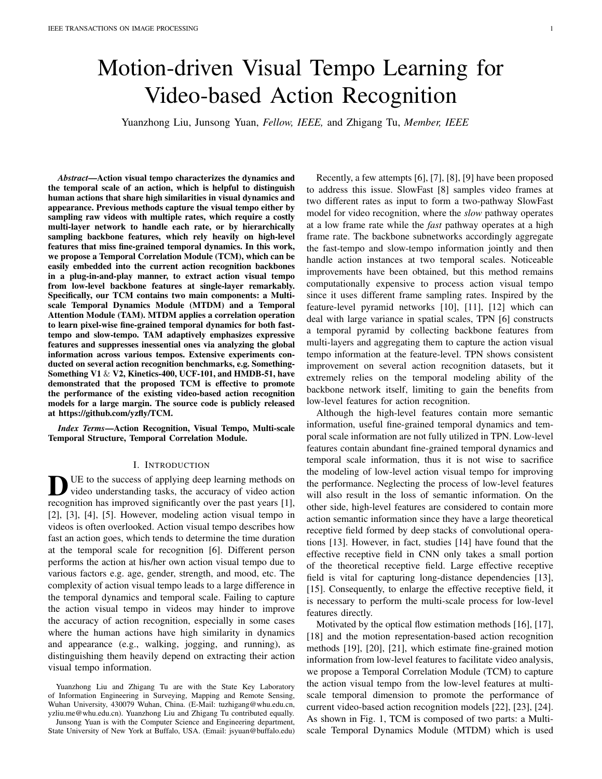cue learning methods [70], [20], [19], [30], [56] mainly aimedhere for performance and ef ciency comparison. For the at extracting the feature-level motion patterns between adbolocal TSM-R50 method [32], we retrained the model on cent frames. TVNet [70] and Rep-Flow [70], [19] internalizehe Something-Something V2 dataset via the of cial PyTorch the TV-L1 optical ow in their networks, which enabling to code base [32]. Compared to Nonlocal TSM-R50, our TCMcapture the motion information and appearance information R60 uses only 0.7 GFLops and 0.8 vParam., and achieves an end-to-end way. STM [30], TEA [31], and CorrNet [56]much better performance (Top1 accuracy: 63.5% vs. 60.1%, propose approaches to establish frame-to-frame matches oxap5 accuracy: 88.7% vs. 85.4%). Probably because the nonconvolutional feature maps, and well-designed blocks foorcal module focuses on capturing global dependencies, in learning better temporal information are applied to replacentrast, our approach pays close attention to extract the the original residual blocks in the ResNet architecture toost appropriate dependencies. In the spatial dimension, pixelconstruct a simple yet effective network. MSNet [20] presentsise optical- ow-like motion information is obtained by an a trainable module named MotionSqueeze to substitute to tetimized MotionSqueeze [20] algorithm. In the temporal external and heavy computational optical ow with the internalimension, for the rst time, we sample the learned features and lightweight learned motion features. These works hawith different ratios, and carry out an ef cient temporal atpromoted video understanding, but the extraction of actidention consideration that involves cross-temporal interaction. visual tempo from video sequence features has been rarebympared to other well-designed approaches, our TCM-R50 accounted. Our work aims to II this gap, where the videotilizes the fewest parameters and gets the highest performance sequence features are exploited to capture the movement *paprovement*.

terns on different temporal scales, and the useful visual tempo information is enhanced adaptively. We compared our method

with these motion cue learning methods on the Kinetics-460 Visualization

dataset in Table X, it reveals that our method is superior

to these methods due to it concerns multi-scale ne-grained temporal dynamics of both the fast-tempo and the slow-temp**p**, To further explore the working mechanism of our TCM,  $\breve{\text{w}}$ e visualize the class activation maps with Grad-CAM [71],

# TABLE X

PERFORMANCE COMPARISON WITH THE EXISTING MOTION CUE LEARNING METHODS ON THE KINETICS-400 DATASET. THE SYMBOL "-" DENOTES THE RESULT THAT IS NOT GIVEN.

| Method            | Frame | GFLOPs Clips   | <b>FPS</b>     | Top-1(%) |
|-------------------|-------|----------------|----------------|----------|
| <b>TVNet [70]</b> | 18    | N/A<br>250     | $\blacksquare$ | 68.5     |
| Rep- ow [19]      | 32    | $15^{2}$<br>25 | 2.0            | 75.5     |
| <b>STM [30]</b>   | 16    | 67<br>30       | $\blacksquare$ | 73.7     |
| <b>TEA [31]</b>   | 16    | 70             |                | 74.0     |
| CorrNet-50 [56]   | 32    | 115<br>10      |                | 77.2     |
| MSNet [20]        | 16    | 67<br>10       | 31.2           | 76:4     |
| TCM(ours)         | 16    | 70<br>10       | 28.1           | 77:2     |

<sup>1</sup> represents that the results of the method are reproduced by us according to the source code they supplied.

## TABLE XI PERFORMANCE COMPARISON WITH THE PLUGIN-AND-PLAY MODULES ON THE SOMETHING-SOMETHING V2 DATASET (TSM-R50IS USED AS A BASELINE). ALL METHODS USERESNET50 PRE-TRAINED ON IMAGENET AS THE BACKBONE AND 8-FRAME INPUT FOR FAIR COMPARISON THE LEAST PARAM. AND THE BEST RESULT ARE HIGHLIGHTED AS BOLD THE

SYMBOL "-" DENOTES THE RESULT THAT IS NOT GIVEN.

| Method                 | <b>GFLOPs</b> | Param. |          | Sth-Sth V2 |
|------------------------|---------------|--------|----------|------------|
|                        |               |        | Top-1(%) | Top-5(%)   |
| baseline(TSM-R50 [32]) | 32.8          | 24.3M  | 58.8     | 85.4       |
| Nonlocal TSM-R50 [32]  | 49.3          | 31.2M  | 60.1     | 86.7       |
| TEINet [63]            | 33            | 30.4M  | 61.3     |            |
| MSNet [20]             | 34.3          | 24.6M  | 63.0     | 88.4       |
| ACTION-Net [64]        | 34.7          | 28.1M  | 62.5     | 87.3       |
| TCM-R50(ours)          | 35.3          | 24:5M  | 63 5     | 88:7       |

[72], [73]. Fig. 4 shows the feature visualizations that are characterized by TSN [41], TSM [32] and our TCM for the action "Moving something and something so they pass each other" on the Something-Something V1 dataset. In our visualization, we take 8 frames from the moment T0 to the moment T7 as input, and plot the activation maps for each frame. From the results, it can be found that 1) TSN only pays attention to objects and fails to capture the movement of objects and human hands; 2) TSM can capture the coarse motion information, but it is unable to accurately locate the action-relevant regions; 3) Our TCM is superior to the TSM baseline in focusing on the action-relevant regions, due to the long-term and short-term temporal modeling capacity of the proposed TCM.

## F. Empirical Analysis

To study the robustness of TCM to action visual tempo variation, we follow [6] to evaluate the accuracy drop by re-sampling the input frames with different temporal intervals. We rst train TSM-ResNet18 and TCM-ResNet18 on the Something-Something V1 dataset with 4 (frames interval) inputs, then we re-scale the original 4 input by resampling the frames with the stride equals to  $2,3,4,5,6,7,8$ respectively, accordingly the temporal scales of a given action instance are adjusted. For some videos with insuf cient number of frames, we copy the last frame until the number of the input frames is reached. Fig. 5 shows the accuracy curves of varying the action temporal scales for TSM-ResNet18 and our

4) Compared with plug-in-and-play modules.We make a TCM-ResNet18. Clearly, our TCM improves the robustness of comprehensive comparison with methods [32], [63], [20], [64]he baseline, and gets a smoother curve (see the orange curve which enjoy a plug-and-play manner likes our TCM, on then the top), which strongly supports the conclusion that our Something-Something V2 dataset, the results are shownTi6M can effectively extract and fuse the action visual tempo Table XI. The TSM-R50 [32] method is served as the baselineatures.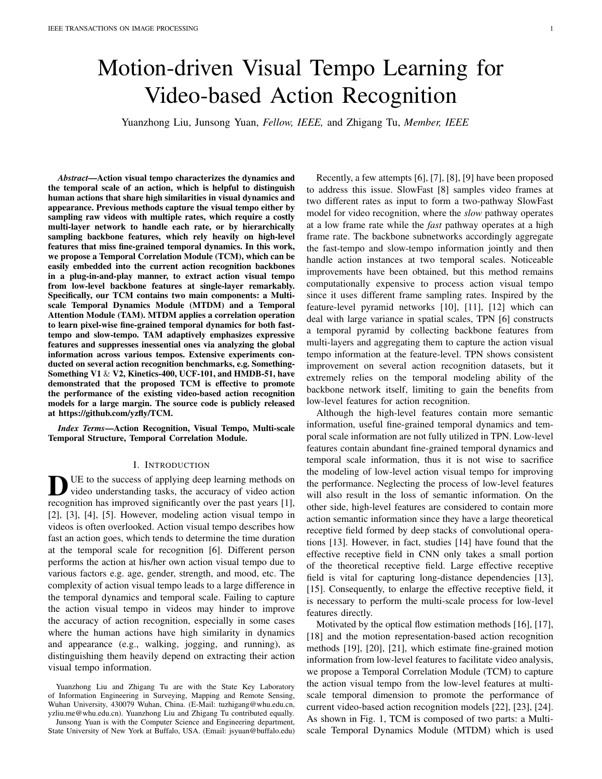Fig. 4. Visualization of activation maps with Grad-CAM [73] for the deep features of the action "Moving something and something so they pass each other", where the deep features are extracted by TSN, TSM and our TCM methods, respectively. All methods use 8-frame input to visualize on the Something-Something V1 dataset. In the rst row, we plot the 8 RGB raw frames, then we plot the activation maps of TSN, TSM and our TCM. We use red bounding box to highlight the regions that need to be focused on in the activation maps. Compared to TSN and TSM, it can be noticed that TCM is able to learn the deep features related to human interaction with objeetsthe red bounding boxes at moment T3-T6 franestricularly, in contrast to TSM, we can nd that the exploited TCM has the following advantages: 1) locating the area where the cup and bottle pass through each other moreeatramets at moment T3), 2) depicting the interaction of the hand and cup more precise ( and moment T4), 3) considering the connection between the cup and the bottle (i.e. frames at moment T5 and T6).

# V. CONCLUSION

We propose a novel Temporal Correlation Module (TCM) to deal with the variation of action visual tempo in videos, which includes a Multi-scale Temporal Dynamics Module (MTDM) and a Temporal Attention Module (TAM). MTDM extracts pixel-wise ne-grained temporal dynamics for both the fasttempo and the slow-tempo by utilizing a correlation operation. TAM adaptively selects and enhances the most effective action visual tempo information by taking across-temporal dynamics interaction into account. The explored TCM can be seamless integrated into the current action recognition backbones and optimized in an end-to-end way to capture the action visual tempo commendably. It is especially effective when incorporating it to the low-level layer of the backbone. Extensive experiments on 5 representative datasets have demonstrated the effectiveness of TCM in both accuracy and ef ciency.

## ACKNOWLEDGMENT

This work was supported by the National Natural Science Foundation of China under Grant 62106177. It was also

Fig. 5. Robustness to the variance of action visual tempo. The orange lisiepported by the Central University Basic Research Fund depicts the accuracy change of the baseline network with incorporating  $\frac{\partial \mathbf{F}}{\partial \mathbf{r}}$  China (No.2042020KF0016). The numerical calculation TCM, while the blue line denotes the accuracy change of the baseline without integrating our TCM. was supported by the supercomputing system in the Supercomputing Center of Wuhan University.